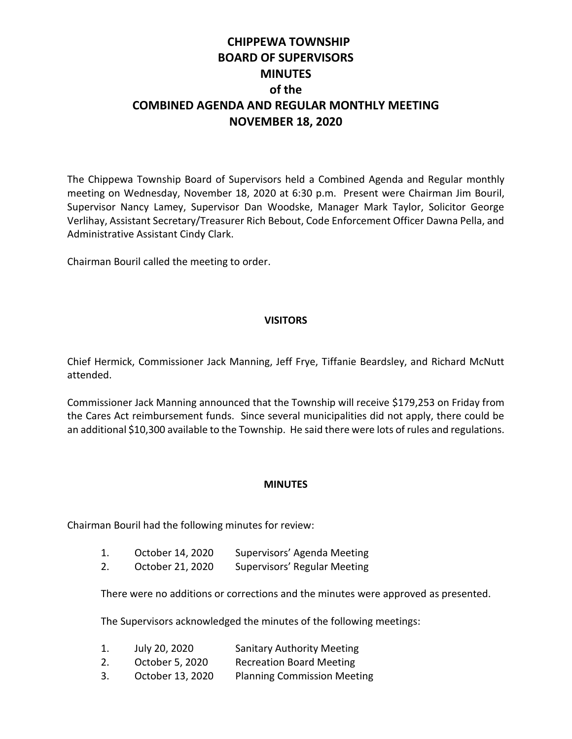# **CHIPPEWA TOWNSHIP BOARD OF SUPERVISORS MINUTES of the COMBINED AGENDA AND REGULAR MONTHLY MEETING NOVEMBER 18, 2020**

The Chippewa Township Board of Supervisors held a Combined Agenda and Regular monthly meeting on Wednesday, November 18, 2020 at 6:30 p.m. Present were Chairman Jim Bouril, Supervisor Nancy Lamey, Supervisor Dan Woodske, Manager Mark Taylor, Solicitor George Verlihay, Assistant Secretary/Treasurer Rich Bebout, Code Enforcement Officer Dawna Pella, and Administrative Assistant Cindy Clark.

Chairman Bouril called the meeting to order.

# **VISITORS**

Chief Hermick, Commissioner Jack Manning, Jeff Frye, Tiffanie Beardsley, and Richard McNutt attended.

Commissioner Jack Manning announced that the Township will receive \$179,253 on Friday from the Cares Act reimbursement funds. Since several municipalities did not apply, there could be an additional \$10,300 available to the Township. He said there were lots of rules and regulations.

## **MINUTES**

Chairman Bouril had the following minutes for review:

2. October 21, 2020 Supervisors' Regular Meeting

There were no additions or corrections and the minutes were approved as presented.

The Supervisors acknowledged the minutes of the following meetings:

| 1. | July 20, 2020   | <b>Sanitary Authority Meeting</b> |
|----|-----------------|-----------------------------------|
| 2. | October 5, 2020 | <b>Recreation Board Meeting</b>   |

3. October 13, 2020 Planning Commission Meeting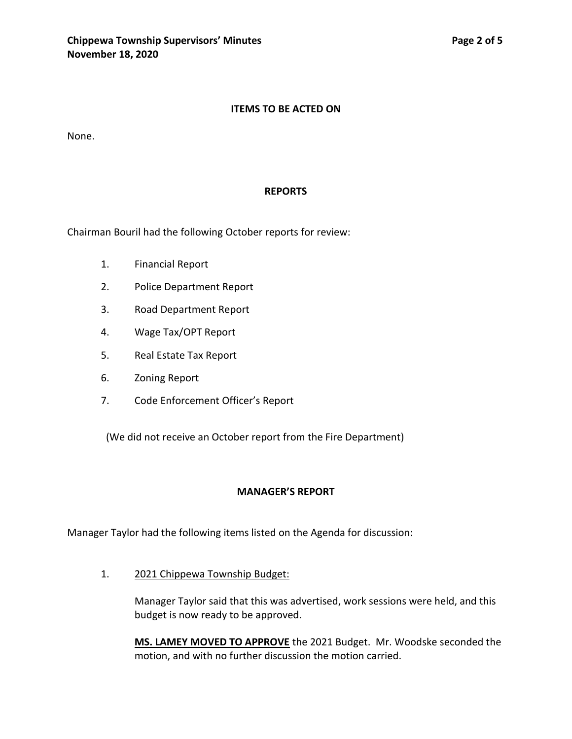## **ITEMS TO BE ACTED ON**

None.

#### **REPORTS**

Chairman Bouril had the following October reports for review:

- 1. Financial Report
- 2. Police Department Report
- 3. Road Department Report
- 4. Wage Tax/OPT Report
- 5. Real Estate Tax Report
- 6. Zoning Report
- 7. Code Enforcement Officer's Report

(We did not receive an October report from the Fire Department)

## **MANAGER'S REPORT**

Manager Taylor had the following items listed on the Agenda for discussion:

1. 2021 Chippewa Township Budget:

Manager Taylor said that this was advertised, work sessions were held, and this budget is now ready to be approved.

**MS. LAMEY MOVED TO APPROVE** the 2021 Budget. Mr. Woodske seconded the motion, and with no further discussion the motion carried.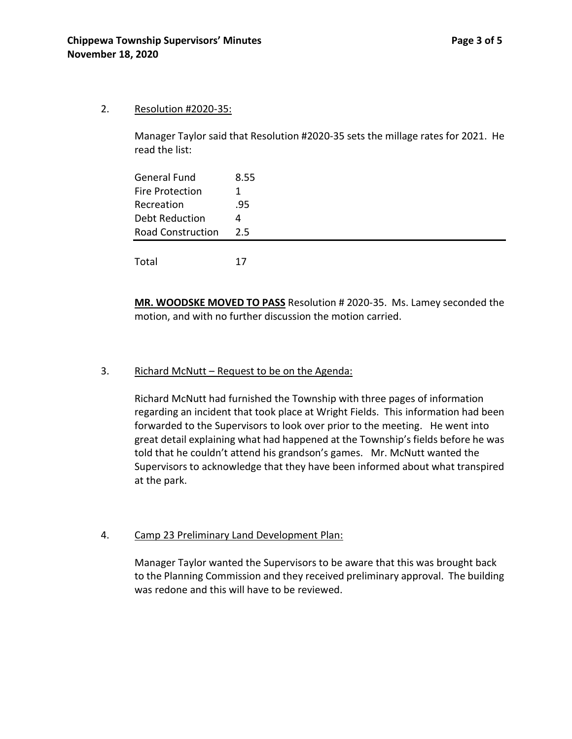## 2. Resolution #2020-35:

Manager Taylor said that Resolution #2020-35 sets the millage rates for 2021. He read the list:

| General Fund             | 8.55 |
|--------------------------|------|
| Fire Protection          |      |
| Recreation               | .95  |
| <b>Debt Reduction</b>    | 4    |
| <b>Road Construction</b> | 2.5  |
|                          |      |
| Total                    | 17   |

**MR. WOODSKE MOVED TO PASS** Resolution # 2020-35. Ms. Lamey seconded the motion, and with no further discussion the motion carried.

# 3. Richard McNutt – Request to be on the Agenda:

Richard McNutt had furnished the Township with three pages of information regarding an incident that took place at Wright Fields. This information had been forwarded to the Supervisors to look over prior to the meeting. He went into great detail explaining what had happened at the Township's fields before he was told that he couldn't attend his grandson's games. Mr. McNutt wanted the Supervisors to acknowledge that they have been informed about what transpired at the park.

# 4. Camp 23 Preliminary Land Development Plan:

Manager Taylor wanted the Supervisors to be aware that this was brought back to the Planning Commission and they received preliminary approval. The building was redone and this will have to be reviewed.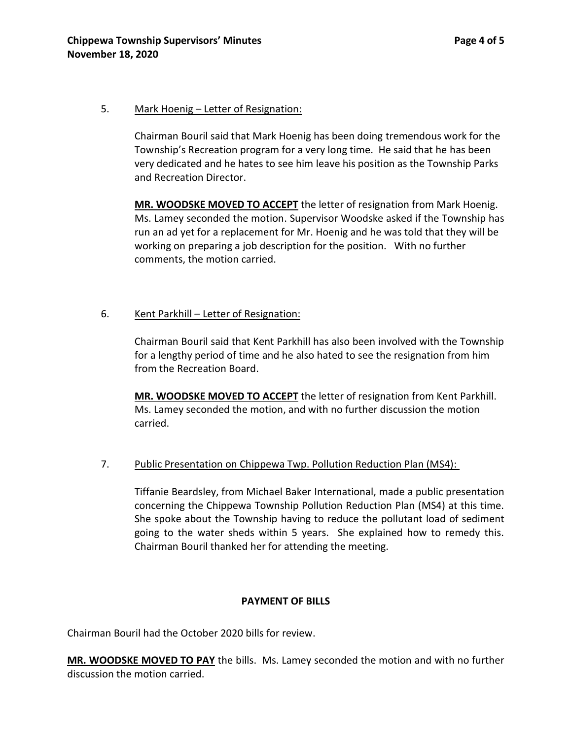## 5. Mark Hoenig – Letter of Resignation:

Chairman Bouril said that Mark Hoenig has been doing tremendous work for the Township's Recreation program for a very long time. He said that he has been very dedicated and he hates to see him leave his position as the Township Parks and Recreation Director.

**MR. WOODSKE MOVED TO ACCEPT** the letter of resignation from Mark Hoenig. Ms. Lamey seconded the motion. Supervisor Woodske asked if the Township has run an ad yet for a replacement for Mr. Hoenig and he was told that they will be working on preparing a job description for the position. With no further comments, the motion carried.

# 6. Kent Parkhill – Letter of Resignation:

Chairman Bouril said that Kent Parkhill has also been involved with the Township for a lengthy period of time and he also hated to see the resignation from him from the Recreation Board.

**MR. WOODSKE MOVED TO ACCEPT** the letter of resignation from Kent Parkhill. Ms. Lamey seconded the motion, and with no further discussion the motion carried.

# 7. Public Presentation on Chippewa Twp. Pollution Reduction Plan (MS4):

Tiffanie Beardsley, from Michael Baker International, made a public presentation concerning the Chippewa Township Pollution Reduction Plan (MS4) at this time. She spoke about the Township having to reduce the pollutant load of sediment going to the water sheds within 5 years. She explained how to remedy this. Chairman Bouril thanked her for attending the meeting.

# **PAYMENT OF BILLS**

Chairman Bouril had the October 2020 bills for review.

**MR. WOODSKE MOVED TO PAY** the bills. Ms. Lamey seconded the motion and with no further discussion the motion carried.